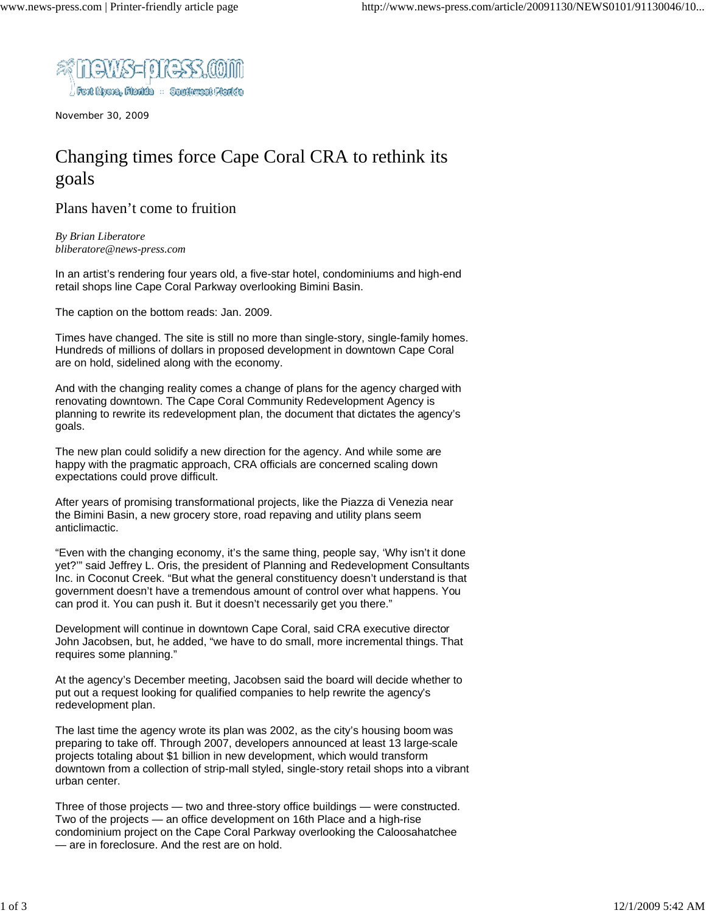

November 30, 2009

## Changing times force Cape Coral CRA to rethink its goals

Plans haven't come to fruition

*By Brian Liberatore bliberatore@news-press.com*

In an artist's rendering four years old, a five-star hotel, condominiums and high-end retail shops line Cape Coral Parkway overlooking Bimini Basin.

The caption on the bottom reads: Jan. 2009.

Times have changed. The site is still no more than single-story, single-family homes. Hundreds of millions of dollars in proposed development in downtown Cape Coral are on hold, sidelined along with the economy.

And with the changing reality comes a change of plans for the agency charged with renovating downtown. The Cape Coral Community Redevelopment Agency is planning to rewrite its redevelopment plan, the document that dictates the agency's goals.

The new plan could solidify a new direction for the agency. And while some are happy with the pragmatic approach, CRA officials are concerned scaling down expectations could prove difficult.

After years of promising transformational projects, like the Piazza di Venezia near the Bimini Basin, a new grocery store, road repaving and utility plans seem anticlimactic.

"Even with the changing economy, it's the same thing, people say, 'Why isn't it done yet?'" said Jeffrey L. Oris, the president of Planning and Redevelopment Consultants Inc. in Coconut Creek. "But what the general constituency doesn't understand is that government doesn't have a tremendous amount of control over what happens. You can prod it. You can push it. But it doesn't necessarily get you there."

Development will continue in downtown Cape Coral, said CRA executive director John Jacobsen, but, he added, "we have to do small, more incremental things. That requires some planning."

At the agency's December meeting, Jacobsen said the board will decide whether to put out a request looking for qualified companies to help rewrite the agency's redevelopment plan.

The last time the agency wrote its plan was 2002, as the city's housing boom was preparing to take off. Through 2007, developers announced at least 13 large-scale projects totaling about \$1 billion in new development, which would transform downtown from a collection of strip-mall styled, single-story retail shops into a vibrant urban center.

Three of those projects — two and three-story office buildings — were constructed. Two of the projects — an office development on 16th Place and a high-rise condominium project on the Cape Coral Parkway overlooking the Caloosahatchee — are in foreclosure. And the rest are on hold.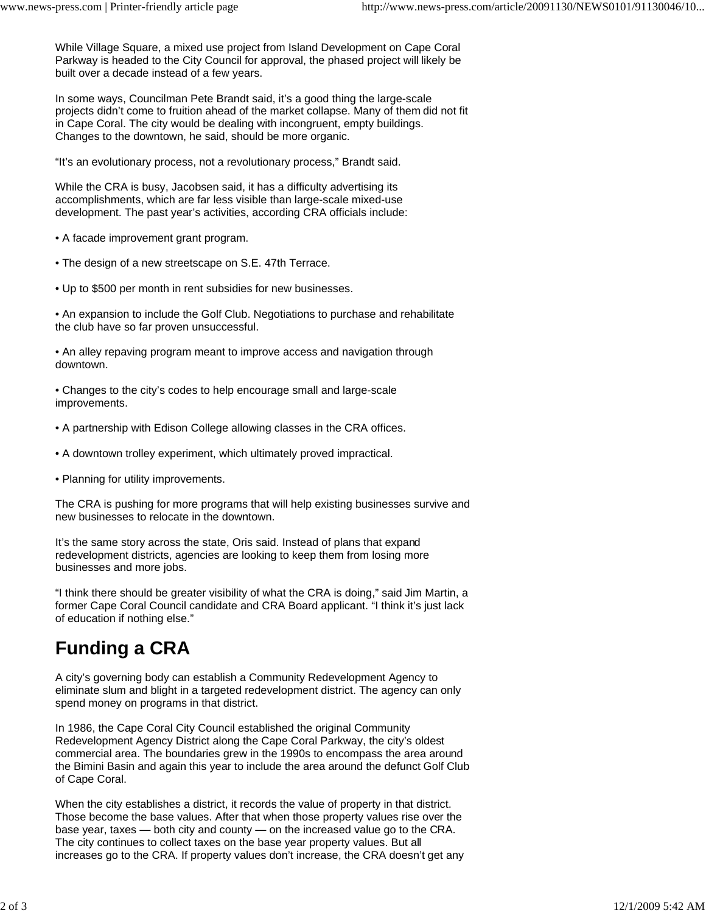While Village Square, a mixed use project from Island Development on Cape Coral Parkway is headed to the City Council for approval, the phased project will likely be built over a decade instead of a few years.

In some ways, Councilman Pete Brandt said, it's a good thing the large-scale projects didn't come to fruition ahead of the market collapse. Many of them did not fit in Cape Coral. The city would be dealing with incongruent, empty buildings. Changes to the downtown, he said, should be more organic.

"It's an evolutionary process, not a revolutionary process," Brandt said.

While the CRA is busy, Jacobsen said, it has a difficulty advertising its accomplishments, which are far less visible than large-scale mixed-use development. The past year's activities, according CRA officials include:

- A facade improvement grant program.
- The design of a new streetscape on S.E. 47th Terrace.
- Up to \$500 per month in rent subsidies for new businesses.

• An expansion to include the Golf Club. Negotiations to purchase and rehabilitate the club have so far proven unsuccessful.

• An alley repaving program meant to improve access and navigation through downtown.

• Changes to the city's codes to help encourage small and large-scale improvements.

- A partnership with Edison College allowing classes in the CRA offices.
- A downtown trolley experiment, which ultimately proved impractical.
- Planning for utility improvements.

The CRA is pushing for more programs that will help existing businesses survive and new businesses to relocate in the downtown.

It's the same story across the state, Oris said. Instead of plans that expand redevelopment districts, agencies are looking to keep them from losing more businesses and more jobs.

"I think there should be greater visibility of what the CRA is doing," said Jim Martin, a former Cape Coral Council candidate and CRA Board applicant. "I think it's just lack of education if nothing else."

## **Funding a CRA**

A city's governing body can establish a Community Redevelopment Agency to eliminate slum and blight in a targeted redevelopment district. The agency can only spend money on programs in that district.

In 1986, the Cape Coral City Council established the original Community Redevelopment Agency District along the Cape Coral Parkway, the city's oldest commercial area. The boundaries grew in the 1990s to encompass the area around the Bimini Basin and again this year to include the area around the defunct Golf Club of Cape Coral.

When the city establishes a district, it records the value of property in that district. Those become the base values. After that when those property values rise over the base year, taxes — both city and county — on the increased value go to the CRA. The city continues to collect taxes on the base year property values. But all increases go to the CRA. If property values don't increase, the CRA doesn't get any